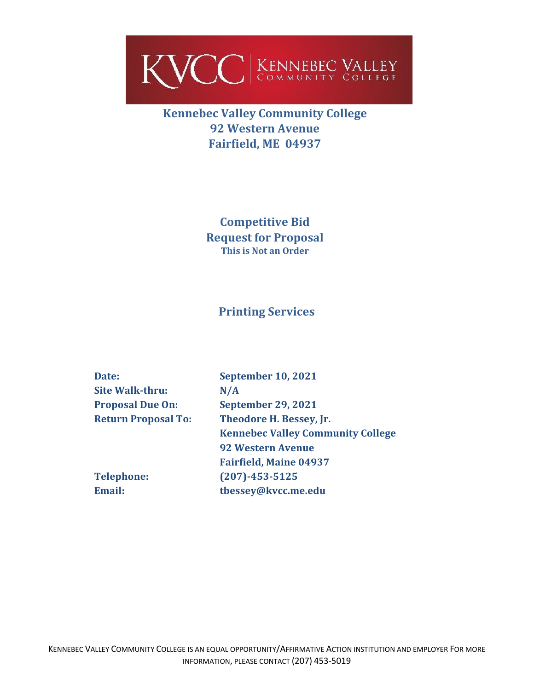

## **Kennebec Valley Community College 92 Western Avenue Fairfield, ME 04937**

**Competitive Bid Request for Proposal This is Not an Order**

### **Printing Services**

| Date:                      | <b>September 10, 2021</b>                |  |
|----------------------------|------------------------------------------|--|
| <b>Site Walk-thru:</b>     | N/A                                      |  |
| <b>Proposal Due On:</b>    | <b>September 29, 2021</b>                |  |
| <b>Return Proposal To:</b> | Theodore H. Bessey, Jr.                  |  |
|                            | <b>Kennebec Valley Community College</b> |  |
|                            | <b>92 Western Avenue</b>                 |  |
|                            | <b>Fairfield, Maine 04937</b>            |  |
| <b>Telephone:</b>          | $(207) - 453 - 5125$                     |  |
| <b>Email:</b>              | tbessey@kvcc.me.edu                      |  |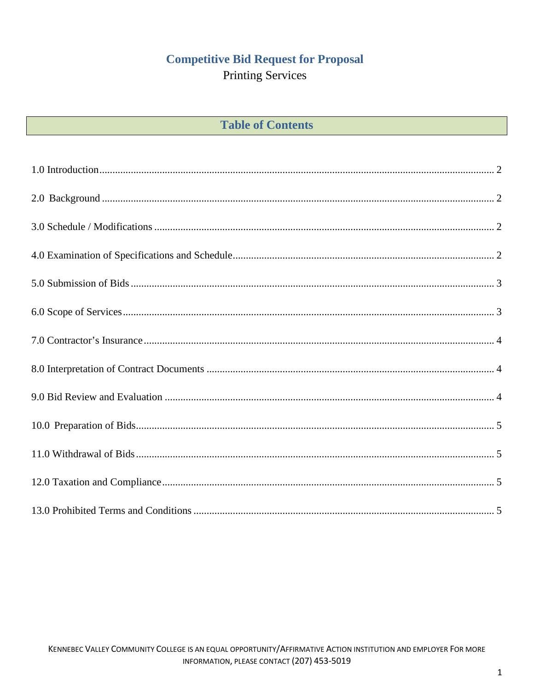# **Competitive Bid Request for Proposal**

# **Printing Services**

## **Table of Contents**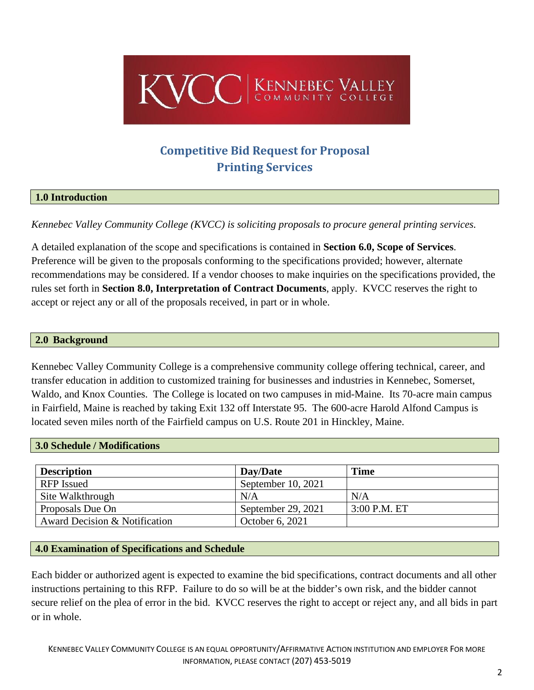

# **Competitive Bid Request for Proposal Printing Services**

#### <span id="page-2-0"></span>**1.0 Introduction**

*Kennebec Valley Community College (KVCC) is soliciting proposals to procure general printing services.*

A detailed explanation of the scope and specifications is contained in **Section 6.0, Scope of Services**. Preference will be given to the proposals conforming to the specifications provided; however, alternate recommendations may be considered. If a vendor chooses to make inquiries on the specifications provided, the rules set forth in **Section 8.0, Interpretation of Contract Documents**, apply. KVCC reserves the right to accept or reject any or all of the proposals received, in part or in whole.

#### <span id="page-2-1"></span>**2.0 Background**

Kennebec Valley Community College is a comprehensive community college offering technical, career, and transfer education in addition to customized training for businesses and industries in Kennebec, Somerset, Waldo, and Knox Counties. The College is located on two campuses in mid-Maine. Its 70-acre main campus in Fairfield, Maine is reached by taking Exit 132 off Interstate 95. The 600-acre Harold Alfond Campus is located seven miles north of the Fairfield campus on U.S. Route 201 in Hinckley, Maine.

#### <span id="page-2-2"></span>**3.0 Schedule / Modifications**

| <b>Description</b>            | Day/Date             | <b>Time</b>    |
|-------------------------------|----------------------|----------------|
| RFP Issued                    | September 10, $2021$ |                |
| Site Walkthrough              | N/A                  | N/A            |
| Proposals Due On              | September 29, 2021   | $3:00$ P.M. ET |
| Award Decision & Notification | October 6, 2021      |                |

#### <span id="page-2-3"></span>**4.0 Examination of Specifications and Schedule**

Each bidder or authorized agent is expected to examine the bid specifications, contract documents and all other instructions pertaining to this RFP. Failure to do so will be at the bidder's own risk, and the bidder cannot secure relief on the plea of error in the bid. KVCC reserves the right to accept or reject any, and all bids in part or in whole.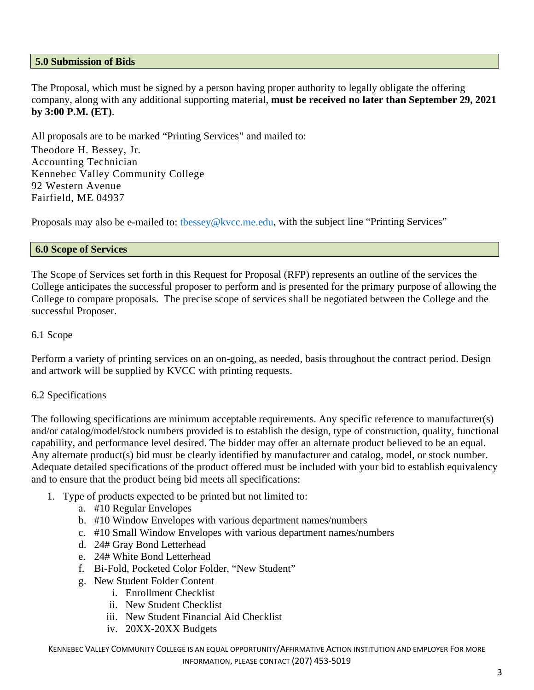#### <span id="page-3-0"></span>**5.0 Submission of Bids**

The Proposal, which must be signed by a person having proper authority to legally obligate the offering company, along with any additional supporting material, **must be received no later than September 29, 2021 by 3:00 P.M. (ET)**.

All proposals are to be marked "Printing Services" and mailed to:

Theodore H. Bessey, Jr. Accounting Technician Kennebec Valley Community College 92 Western Avenue Fairfield, ME 04937

Proposals may also be e-mailed to: thessey@kvcc.me.edu, with the subject line "Printing Services"

#### <span id="page-3-1"></span>**6.0 Scope of Services**

The Scope of Services set forth in this Request for Proposal (RFP) represents an outline of the services the College anticipates the successful proposer to perform and is presented for the primary purpose of allowing the College to compare proposals. The precise scope of services shall be negotiated between the College and the successful Proposer.

#### 6.1 Scope

Perform a variety of printing services on an on-going, as needed, basis throughout the contract period. Design and artwork will be supplied by KVCC with printing requests.

#### 6.2 Specifications

The following specifications are minimum acceptable requirements. Any specific reference to manufacturer(s) and/or catalog/model/stock numbers provided is to establish the design, type of construction, quality, functional capability, and performance level desired. The bidder may offer an alternate product believed to be an equal. Any alternate product(s) bid must be clearly identified by manufacturer and catalog, model, or stock number. Adequate detailed specifications of the product offered must be included with your bid to establish equivalency and to ensure that the product being bid meets all specifications:

- 1. Type of products expected to be printed but not limited to:
	- a. #10 Regular Envelopes
	- b. #10 Window Envelopes with various department names/numbers
	- c. #10 Small Window Envelopes with various department names/numbers
	- d. 24# Gray Bond Letterhead
	- e. 24# White Bond Letterhead
	- f. Bi-Fold, Pocketed Color Folder, "New Student"
	- g. New Student Folder Content
		- i. Enrollment Checklist
		- ii. New Student Checklist
		- iii. New Student Financial Aid Checklist
		- iv. 20XX-20XX Budgets

KENNEBEC VALLEY COMMUNITY COLLEGE IS AN EQUAL OPPORTUNITY/AFFIRMATIVE ACTION INSTITUTION AND EMPLOYER FOR MORE INFORMATION, PLEASE CONTACT (207) 453-5019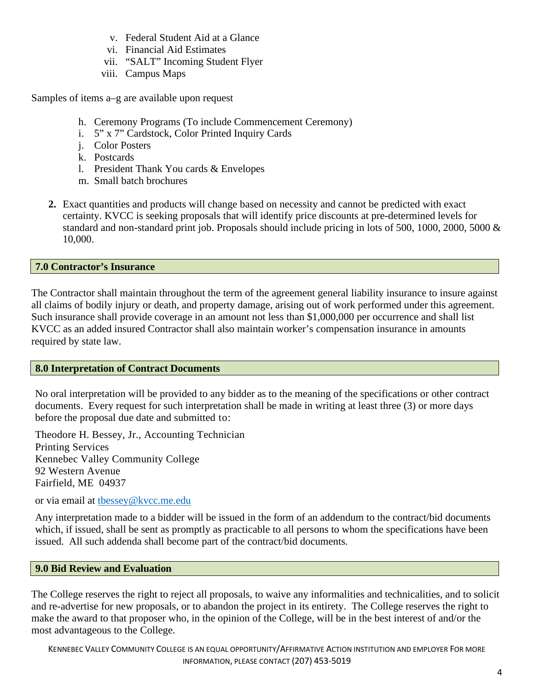- v. Federal Student Aid at a Glance
- vi. Financial Aid Estimates
- vii. "SALT" Incoming Student Flyer
- viii. Campus Maps

Samples of items a–g are available upon request

- h. Ceremony Programs (To include Commencement Ceremony)
- i. 5" x 7" Cardstock, Color Printed Inquiry Cards
- j. Color Posters
- k. Postcards
- l. President Thank You cards & Envelopes
- m. Small batch brochures
- **2.** Exact quantities and products will change based on necessity and cannot be predicted with exact certainty. KVCC is seeking proposals that will identify price discounts at pre-determined levels for standard and non-standard print job. Proposals should include pricing in lots of 500, 1000, 2000, 5000 & 10,000.

#### <span id="page-4-0"></span>**7.0 Contractor's Insurance**

<span id="page-4-1"></span>The Contractor shall maintain throughout the term of the agreement general liability insurance to insure against all claims of bodily injury or death, and property damage, arising out of work performed under this agreement. Such insurance shall provide coverage in an amount not less than \$1,000,000 per occurrence and shall list KVCC as an added insured Contractor shall also maintain worker's compensation insurance in amounts required by state law.

#### **8.0 Interpretation of Contract Documents**

No oral interpretation will be provided to any bidder as to the meaning of the specifications or other contract documents. Every request for such interpretation shall be made in writing at least three (3) or more days before the proposal due date and submitted to:

Theodore H. Bessey, Jr., Accounting Technician Printing Services Kennebec Valley Community College 92 Western Avenue Fairfield, ME 04937

or via email at [tbessey@kvcc.me.edu](mailto:tbessey@kvcc.me.edu)

Any interpretation made to a bidder will be issued in the form of an addendum to the contract/bid documents which, if issued, shall be sent as promptly as practicable to all persons to whom the specifications have been issued. All such addenda shall become part of the contract/bid documents.

#### <span id="page-4-2"></span>**9.0 Bid Review and Evaluation**

The College reserves the right to reject all proposals, to waive any informalities and technicalities, and to solicit and re-advertise for new proposals, or to abandon the project in its entirety. The College reserves the right to make the award to that proposer who, in the opinion of the College, will be in the best interest of and/or the most advantageous to the College.

KENNEBEC VALLEY COMMUNITY COLLEGE IS AN EQUAL OPPORTUNITY/AFFIRMATIVE ACTION INSTITUTION AND EMPLOYER FOR MORE INFORMATION, PLEASE CONTACT (207) 453-5019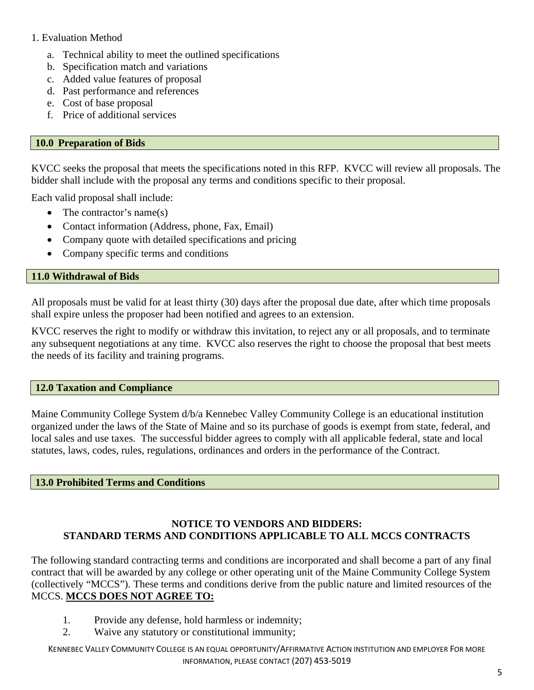#### 1. Evaluation Method

- a. Technical ability to meet the outlined specifications
- b. Specification match and variations
- c. Added value features of proposal
- d. Past performance and references
- e. Cost of base proposal
- f. Price of additional services

#### <span id="page-5-0"></span>**10.0 Preparation of Bids**

KVCC seeks the proposal that meets the specifications noted in this RFP. KVCC will review all proposals. The bidder shall include with the proposal any terms and conditions specific to their proposal.

Each valid proposal shall include:

- The contractor's name(s)
- Contact information (Address, phone, Fax, Email)
- Company quote with detailed specifications and pricing
- Company specific terms and conditions

#### <span id="page-5-1"></span>**11.0 Withdrawal of Bids**

All proposals must be valid for at least thirty (30) days after the proposal due date, after which time proposals shall expire unless the proposer had been notified and agrees to an extension.

KVCC reserves the right to modify or withdraw this invitation, to reject any or all proposals, and to terminate any subsequent negotiations at any time. KVCC also reserves the right to choose the proposal that best meets the needs of its facility and training programs.

#### <span id="page-5-2"></span>**12.0 Taxation and Compliance**

Maine Community College System d/b/a Kennebec Valley Community College is an educational institution organized under the laws of the State of Maine and so its purchase of goods is exempt from state, federal, and local sales and use taxes. The successful bidder agrees to comply with all applicable federal, state and local statutes, laws, codes, rules, regulations, ordinances and orders in the performance of the Contract.

#### <span id="page-5-3"></span>**13.0 Prohibited Terms and Conditions**

#### **NOTICE TO VENDORS AND BIDDERS: STANDARD TERMS AND CONDITIONS APPLICABLE TO ALL MCCS CONTRACTS**

The following standard contracting terms and conditions are incorporated and shall become a part of any final contract that will be awarded by any college or other operating unit of the Maine Community College System (collectively "MCCS"). These terms and conditions derive from the public nature and limited resources of the MCCS. **MCCS DOES NOT AGREE TO:**

- 1. Provide any defense, hold harmless or indemnity;
- 2. Waive any statutory or constitutional immunity;

KENNEBEC VALLEY COMMUNITY COLLEGE IS AN EQUAL OPPORTUNITY/AFFIRMATIVE ACTION INSTITUTION AND EMPLOYER FOR MORE INFORMATION, PLEASE CONTACT (207) 453-5019